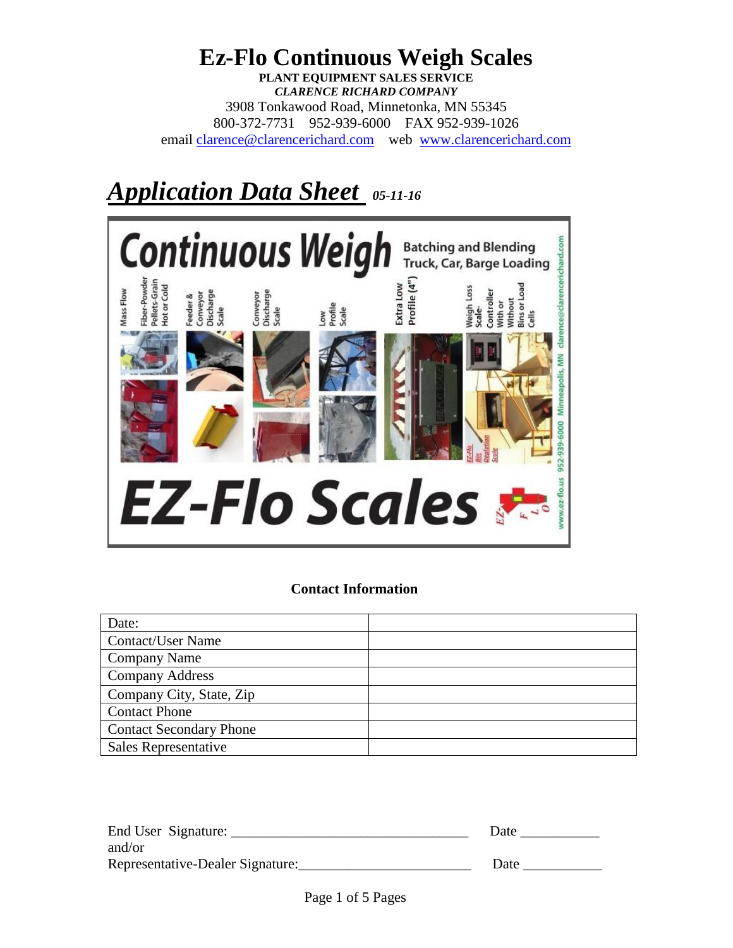# **Ez-Flo Continuous Weigh Scales PLANT EQUIPMENT SALES SERVICE** *CLARENCE RICHARD COMPANY* 3908 Tonkawood Road, Minnetonka, MN 55345 800-372-7731 952-939-6000 FAX 952-939-1026 email [clarence@clarencerichard.com](mailto:crco@Clarence) web [www.clarencerichard.com](http://www.clarencerichard.com/)

# *Application Data Sheet 05-11-16*



# **Contact Information**

| Date:                          |  |
|--------------------------------|--|
| <b>Contact/User Name</b>       |  |
| <b>Company Name</b>            |  |
| <b>Company Address</b>         |  |
| Company City, State, Zip       |  |
| <b>Contact Phone</b>           |  |
| <b>Contact Secondary Phone</b> |  |
| Sales Representative           |  |

| End User Signature:              | Date |
|----------------------------------|------|
| and/or                           |      |
| Representative-Dealer Signature: | Date |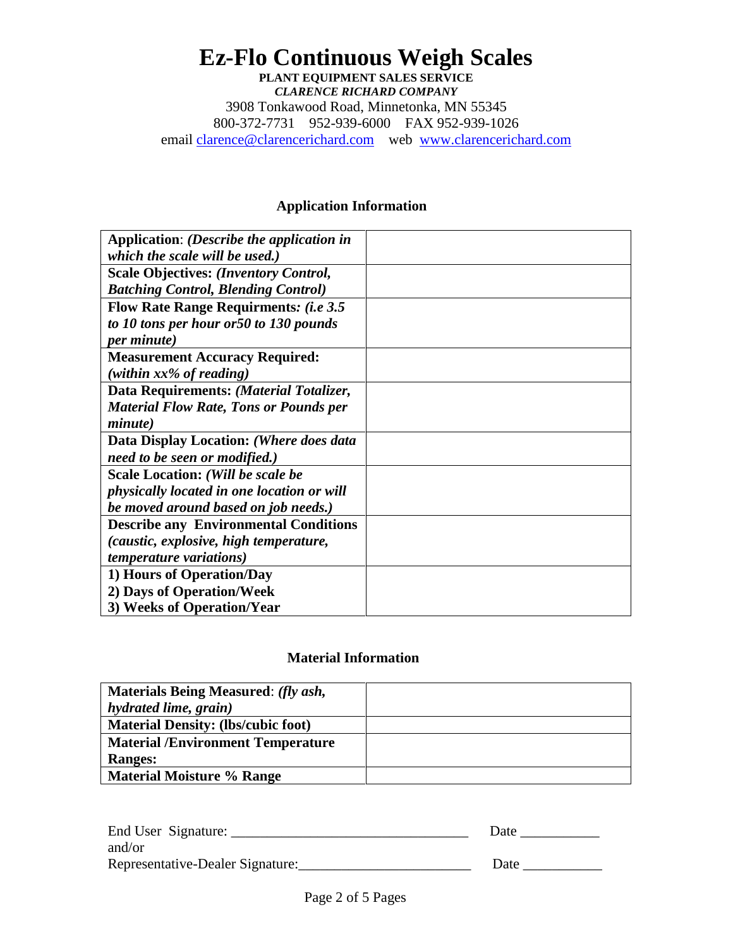## **Ez-Flo Continuous Weigh Scales PLANT EQUIPMENT SALES SERVICE** *CLARENCE RICHARD COMPANY* 3908 Tonkawood Road, Minnetonka, MN 55345 800-372-7731 952-939-6000 FAX 952-939-1026 email [clarence@clarencerichard.com](mailto:crco@Clarence) web [www.clarencerichard.com](http://www.clarencerichard.com/)

#### **Application Information**

| Application: (Describe the application in     |  |
|-----------------------------------------------|--|
| which the scale will be used.)                |  |
| <b>Scale Objectives: (Inventory Control,</b>  |  |
| <b>Batching Control, Blending Control)</b>    |  |
| <b>Flow Rate Range Requirments: (i.e 3.5)</b> |  |
| to 10 tons per hour or 50 to 130 pounds       |  |
| <i>per minute</i> )                           |  |
| <b>Measurement Accuracy Required:</b>         |  |
| (within $xx\%$ of reading)                    |  |
| Data Requirements: (Material Totalizer,       |  |
| <b>Material Flow Rate, Tons or Pounds per</b> |  |
| <i>minute</i> )                               |  |
| Data Display Location: (Where does data       |  |
| need to be seen or modified.)                 |  |
| Scale Location: (Will be scale be             |  |
| physically located in one location or will    |  |
| be moved around based on job needs.)          |  |
| <b>Describe any Environmental Conditions</b>  |  |
| <i>(caustic, explosive, high temperature,</i> |  |
| <i>temperature variations)</i>                |  |
| 1) Hours of Operation/Day                     |  |
| 2) Days of Operation/Week                     |  |
| 3) Weeks of Operation/Year                    |  |

### **Material Information**

| <b>Materials Being Measured: (fly ash,</b> |  |
|--------------------------------------------|--|
| hydrated lime, grain)                      |  |
| <b>Material Density: (lbs/cubic foot)</b>  |  |
| <b>Material /Environment Temperature</b>   |  |
| <b>Ranges:</b>                             |  |
| <b>Material Moisture % Range</b>           |  |

| End User Signature:              | Date |
|----------------------------------|------|
| and/or                           |      |
| Representative-Dealer Signature: | Date |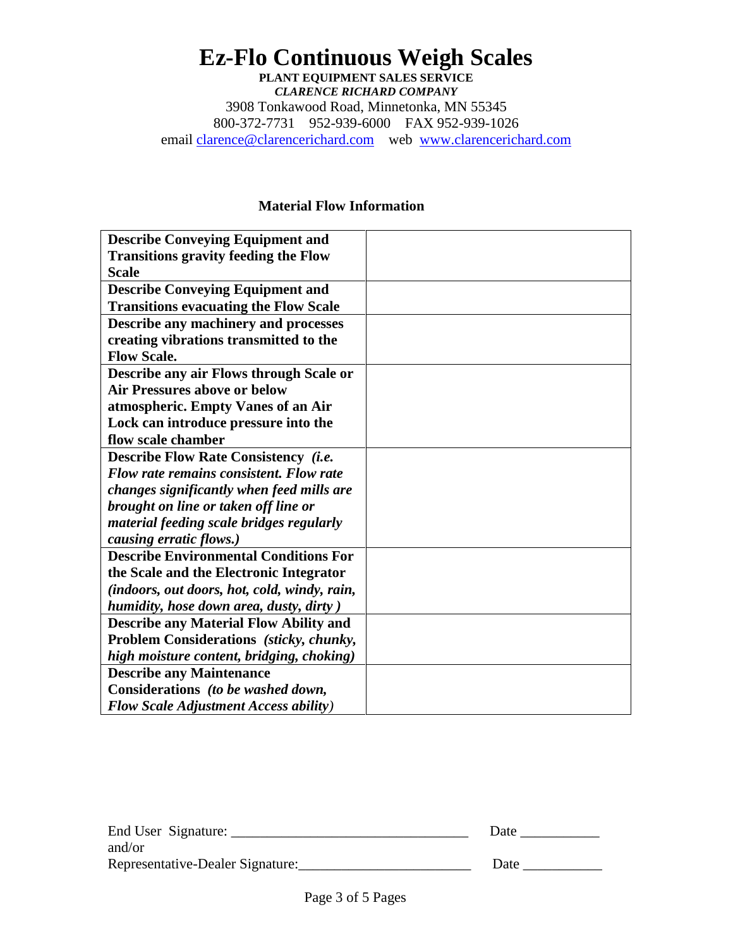# **Ez-Flo Continuous Weigh Scales PLANT EQUIPMENT SALES SERVICE** *CLARENCE RICHARD COMPANY* 3908 Tonkawood Road, Minnetonka, MN 55345 800-372-7731 952-939-6000 FAX 952-939-1026 email [clarence@clarencerichard.com](mailto:crco@Clarence) web [www.clarencerichard.com](http://www.clarencerichard.com/)

#### **Material Flow Information**

| <b>Describe Conveying Equipment and</b>        |  |
|------------------------------------------------|--|
| <b>Transitions gravity feeding the Flow</b>    |  |
| <b>Scale</b>                                   |  |
| <b>Describe Conveying Equipment and</b>        |  |
| <b>Transitions evacuating the Flow Scale</b>   |  |
| Describe any machinery and processes           |  |
| creating vibrations transmitted to the         |  |
| <b>Flow Scale.</b>                             |  |
| Describe any air Flows through Scale or        |  |
| <b>Air Pressures above or below</b>            |  |
| atmospheric. Empty Vanes of an Air             |  |
| Lock can introduce pressure into the           |  |
| flow scale chamber                             |  |
| <b>Describe Flow Rate Consistency (i.e.</b>    |  |
| <b>Flow rate remains consistent. Flow rate</b> |  |
| changes significantly when feed mills are      |  |
| brought on line or taken off line or           |  |
| material feeding scale bridges regularly       |  |
| causing erratic flows.)                        |  |
| <b>Describe Environmental Conditions For</b>   |  |
| the Scale and the Electronic Integrator        |  |
| (indoors, out doors, hot, cold, windy, rain,   |  |
| humidity, hose down area, dusty, dirty)        |  |
| <b>Describe any Material Flow Ability and</b>  |  |
| Problem Considerations (sticky, chunky,        |  |
| high moisture content, bridging, choking)      |  |
| <b>Describe any Maintenance</b>                |  |
| Considerations (to be washed down,             |  |
| <b>Flow Scale Adjustment Access ability</b> )  |  |

| End User Signature:              | Date |
|----------------------------------|------|
| and/or                           |      |
| Representative-Dealer Signature: | Date |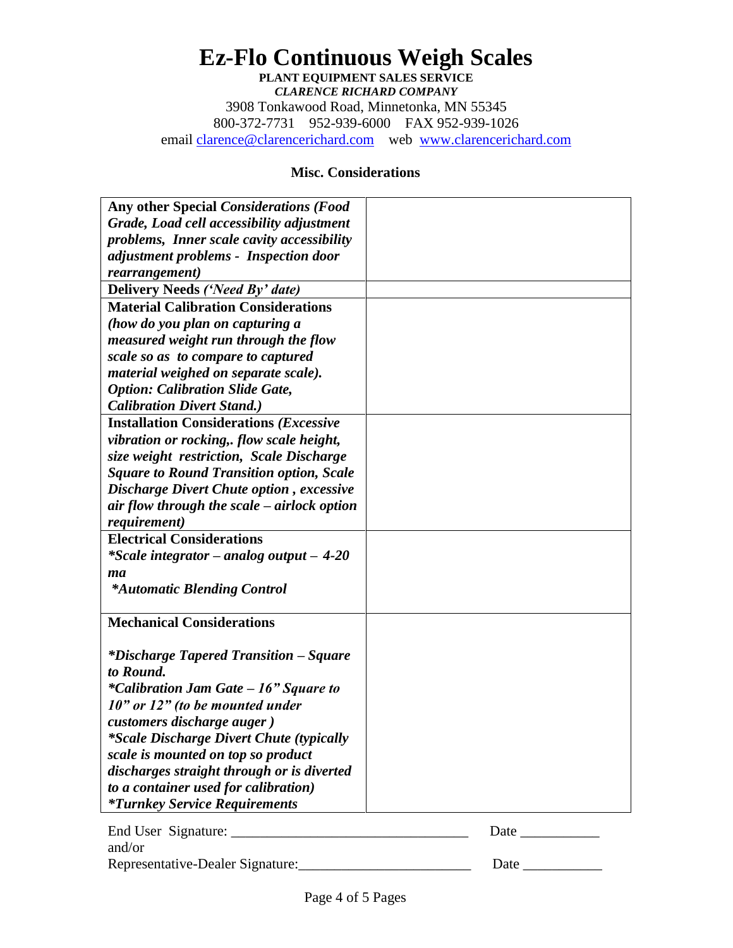# **Ez-Flo Continuous Weigh Scales PLANT EQUIPMENT SALES SERVICE** *CLARENCE RICHARD COMPANY* 3908 Tonkawood Road, Minnetonka, MN 55345 800-372-7731 952-939-6000 FAX 952-939-1026

email [clarence@clarencerichard.com](mailto:crco@Clarence) web [www.clarencerichard.com](http://www.clarencerichard.com/)

## **Misc. Considerations**

| Any other Special Considerations (Food          |             |
|-------------------------------------------------|-------------|
| Grade, Load cell accessibility adjustment       |             |
| problems, Inner scale cavity accessibility      |             |
| adjustment problems - Inspection door           |             |
| rearrangement)                                  |             |
| Delivery Needs ('Need By' date)                 |             |
| <b>Material Calibration Considerations</b>      |             |
| (how do you plan on capturing a                 |             |
| measured weight run through the flow            |             |
| scale so as to compare to captured              |             |
| material weighed on separate scale).            |             |
| <b>Option: Calibration Slide Gate,</b>          |             |
| <b>Calibration Divert Stand.)</b>               |             |
| <b>Installation Considerations (Excessive</b>   |             |
| vibration or rocking, flow scale height,        |             |
| size weight restriction, Scale Discharge        |             |
| <b>Square to Round Transition option, Scale</b> |             |
| <b>Discharge Divert Chute option, excessive</b> |             |
| air flow through the scale – airlock option     |             |
| <i>requirement</i> )                            |             |
| <b>Electrical Considerations</b>                |             |
| <i>*Scale integrator – analog output – 4-20</i> |             |
| ma                                              |             |
| <i>*Automatic Blending Control</i>              |             |
|                                                 |             |
| <b>Mechanical Considerations</b>                |             |
|                                                 |             |
| <i>*Discharge Tapered Transition – Square</i>   |             |
| to Round.                                       |             |
| <i>*Calibration Jam Gate – 16" Square to</i>    |             |
| $10"$ or $12"$ (to be mounted under             |             |
| customers discharge auger)                      |             |
| <i>*Scale Discharge Divert Chute (typically</i> |             |
| scale is mounted on top so product              |             |
| discharges straight through or is diverted      |             |
| to a container used for calibration)            |             |
| <i>*Turnkey Service Requirements</i>            |             |
|                                                 |             |
| and/or                                          |             |
|                                                 | Date $\_\_$ |
|                                                 |             |